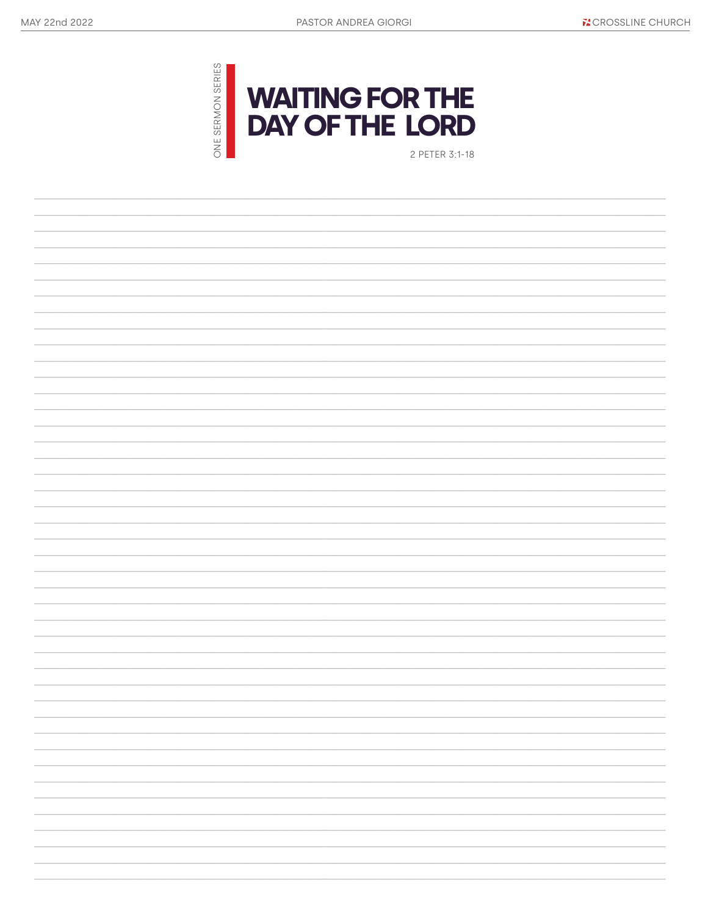